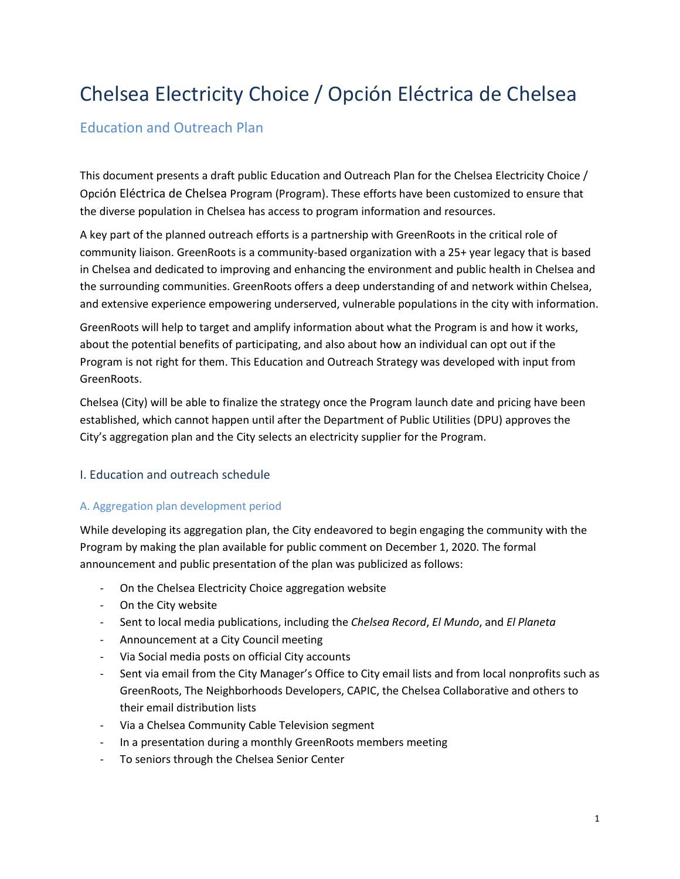# Chelsea Electricity Choice / Opción Eléctrica de Chelsea

# Education and Outreach Plan

This document presents a draft public Education and Outreach Plan for the Chelsea Electricity Choice / Opción Eléctrica de Chelsea Program (Program). These efforts have been customized to ensure that the diverse population in Chelsea has access to program information and resources.

A key part of the planned outreach efforts is a partnership with GreenRoots in the critical role of community liaison. GreenRoots is a community-based organization with a 25+ year legacy that is based in Chelsea and dedicated to improving and enhancing the environment and public health in Chelsea and the surrounding communities. GreenRoots offers a deep understanding of and network within Chelsea, and extensive experience empowering underserved, vulnerable populations in the city with information.

GreenRoots will help to target and amplify information about what the Program is and how it works, about the potential benefits of participating, and also about how an individual can opt out if the Program is not right for them. This Education and Outreach Strategy was developed with input from GreenRoots.

Chelsea (City) will be able to finalize the strategy once the Program launch date and pricing have been established, which cannot happen until after the Department of Public Utilities (DPU) approves the City's aggregation plan and the City selects an electricity supplier for the Program.

# I. Education and outreach schedule

# A. Aggregation plan development period

While developing its aggregation plan, the City endeavored to begin engaging the community with the Program by making the plan available for public comment on December 1, 2020. The formal announcement and public presentation of the plan was publicized as follows:

- On the Chelsea Electricity Choice aggregation website
- On the City website
- Sent to local media publications, including the *Chelsea Record*, *El Mundo*, and *El Planeta*
- Announcement at a City Council meeting
- Via Social media posts on official City accounts
- Sent via email from the City Manager's Office to City email lists and from local nonprofits such as GreenRoots, The Neighborhoods Developers, CAPIC, the Chelsea Collaborative and others to their email distribution lists
- Via a Chelsea Community Cable Television segment
- In a presentation during a monthly GreenRoots members meeting
- To seniors through the Chelsea Senior Center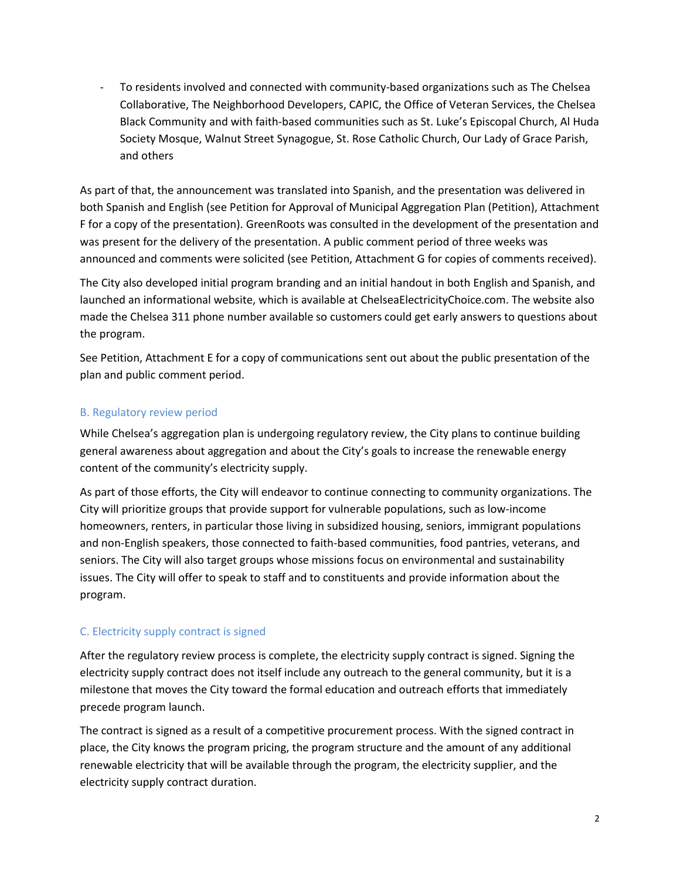- To residents involved and connected with community-based organizations such as The Chelsea Collaborative, The Neighborhood Developers, CAPIC, the Office of Veteran Services, the Chelsea Black Community and with faith-based communities such as St. Luke's Episcopal Church, Al Huda Society Mosque, Walnut Street Synagogue, St. Rose Catholic Church, Our Lady of Grace Parish, and others

As part of that, the announcement was translated into Spanish, and the presentation was delivered in both Spanish and English (see Petition for Approval of Municipal Aggregation Plan (Petition), Attachment F for a copy of the presentation). GreenRoots was consulted in the development of the presentation and was present for the delivery of the presentation. A public comment period of three weeks was announced and comments were solicited (see Petition, Attachment G for copies of comments received).

The City also developed initial program branding and an initial handout in both English and Spanish, and launched an informational website, which is available at ChelseaElectricityChoice.com. The website also made the Chelsea 311 phone number available so customers could get early answers to questions about the program.

See Petition, Attachment E for a copy of communications sent out about the public presentation of the plan and public comment period.

# B. Regulatory review period

While Chelsea's aggregation plan is undergoing regulatory review, the City plans to continue building general awareness about aggregation and about the City's goals to increase the renewable energy content of the community's electricity supply.

As part of those efforts, the City will endeavor to continue connecting to community organizations. The City will prioritize groups that provide support for vulnerable populations, such as low-income homeowners, renters, in particular those living in subsidized housing, seniors, immigrant populations and non-English speakers, those connected to faith-based communities, food pantries, veterans, and seniors. The City will also target groups whose missions focus on environmental and sustainability issues. The City will offer to speak to staff and to constituents and provide information about the program.

# C. Electricity supply contract is signed

After the regulatory review process is complete, the electricity supply contract is signed. Signing the electricity supply contract does not itself include any outreach to the general community, but it is a milestone that moves the City toward the formal education and outreach efforts that immediately precede program launch.

The contract is signed as a result of a competitive procurement process. With the signed contract in place, the City knows the program pricing, the program structure and the amount of any additional renewable electricity that will be available through the program, the electricity supplier, and the electricity supply contract duration.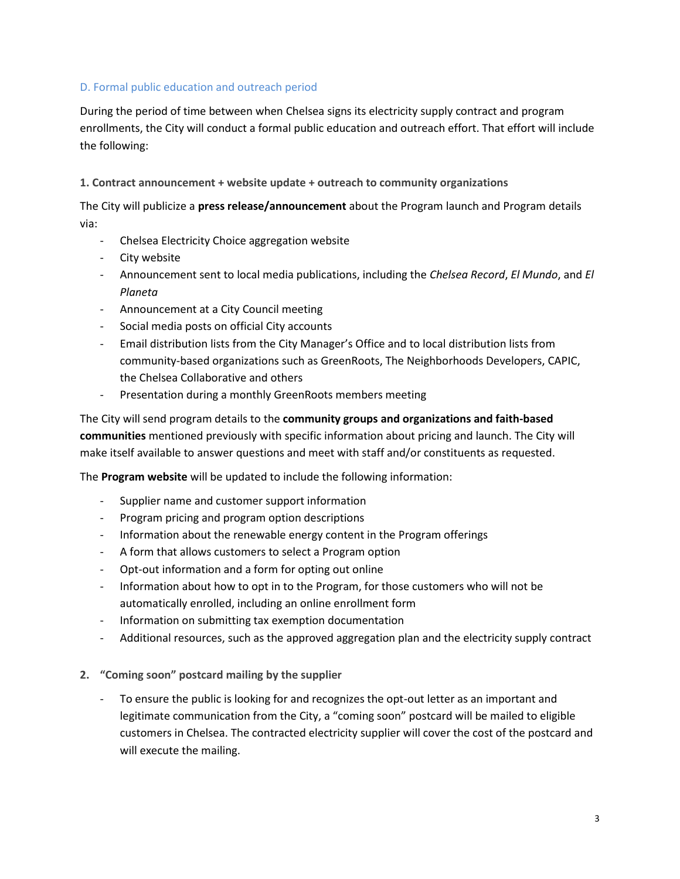#### D. Formal public education and outreach period

During the period of time between when Chelsea signs its electricity supply contract and program enrollments, the City will conduct a formal public education and outreach effort. That effort will include the following:

#### **1. Contract announcement + website update + outreach to community organizations**

The City will publicize a **press release/announcement** about the Program launch and Program details via:

- Chelsea Electricity Choice aggregation website
- City website
- Announcement sent to local media publications, including the *Chelsea Record*, *El Mundo*, and *El Planeta*
- Announcement at a City Council meeting
- Social media posts on official City accounts
- Email distribution lists from the City Manager's Office and to local distribution lists from community-based organizations such as GreenRoots, The Neighborhoods Developers, CAPIC, the Chelsea Collaborative and others
- Presentation during a monthly GreenRoots members meeting

The City will send program details to the **community groups and organizations and faith-based communities** mentioned previously with specific information about pricing and launch. The City will make itself available to answer questions and meet with staff and/or constituents as requested.

The **Program website** will be updated to include the following information:

- Supplier name and customer support information
- Program pricing and program option descriptions
- Information about the renewable energy content in the Program offerings
- A form that allows customers to select a Program option
- Opt-out information and a form for opting out online
- Information about how to opt in to the Program, for those customers who will not be automatically enrolled, including an online enrollment form
- Information on submitting tax exemption documentation
- Additional resources, such as the approved aggregation plan and the electricity supply contract
- **2. "Coming soon" postcard mailing by the supplier**
	- To ensure the public is looking for and recognizes the opt-out letter as an important and legitimate communication from the City, a "coming soon" postcard will be mailed to eligible customers in Chelsea. The contracted electricity supplier will cover the cost of the postcard and will execute the mailing.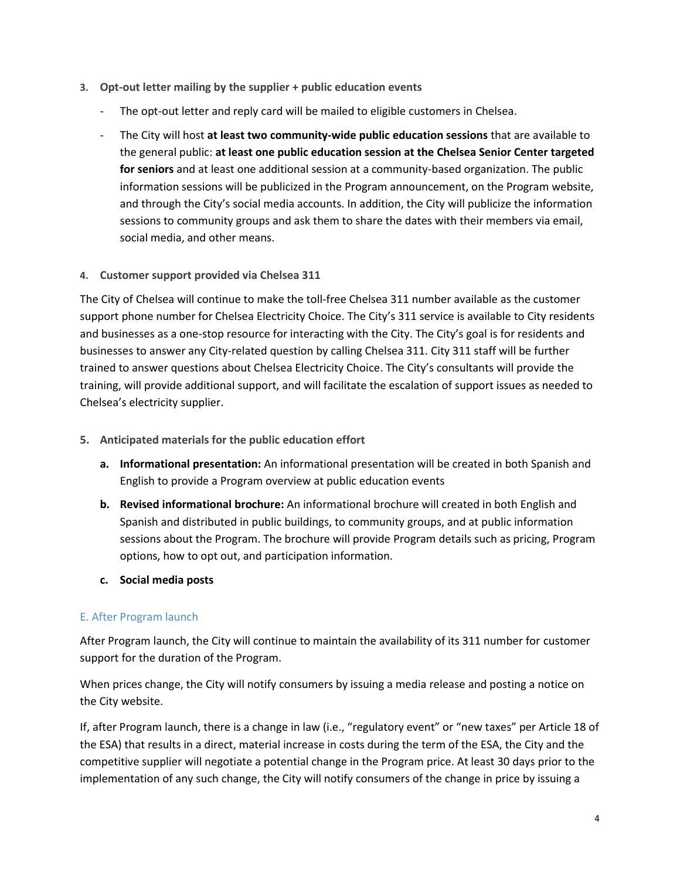- **3. Opt-out letter mailing by the supplier + public education events**
	- The opt-out letter and reply card will be mailed to eligible customers in Chelsea.
	- The City will host **at least two community-wide public education sessions** that are available to the general public: **at least one public education session at the Chelsea Senior Center targeted for seniors** and at least one additional session at a community-based organization. The public information sessions will be publicized in the Program announcement, on the Program website, and through the City's social media accounts. In addition, the City will publicize the information sessions to community groups and ask them to share the dates with their members via email, social media, and other means.
- **4. Customer support provided via Chelsea 311**

The City of Chelsea will continue to make the toll-free Chelsea 311 number available as the customer support phone number for Chelsea Electricity Choice. The City's 311 service is available to City residents and businesses as a one-stop resource for interacting with the City. The City's goal is for residents and businesses to answer any City-related question by calling Chelsea 311. City 311 staff will be further trained to answer questions about Chelsea Electricity Choice. The City's consultants will provide the training, will provide additional support, and will facilitate the escalation of support issues as needed to Chelsea's electricity supplier.

- **5. Anticipated materials for the public education effort**
	- **a. Informational presentation:** An informational presentation will be created in both Spanish and English to provide a Program overview at public education events
	- **b. Revised informational brochure:** An informational brochure will created in both English and Spanish and distributed in public buildings, to community groups, and at public information sessions about the Program. The brochure will provide Program details such as pricing, Program options, how to opt out, and participation information.
	- **c. Social media posts**

# E. After Program launch

After Program launch, the City will continue to maintain the availability of its 311 number for customer support for the duration of the Program.

When prices change, the City will notify consumers by issuing a media release and posting a notice on the City website.

If, after Program launch, there is a change in law (i.e., "regulatory event" or "new taxes" per Article 18 of the ESA) that results in a direct, material increase in costs during the term of the ESA, the City and the competitive supplier will negotiate a potential change in the Program price. At least 30 days prior to the implementation of any such change, the City will notify consumers of the change in price by issuing a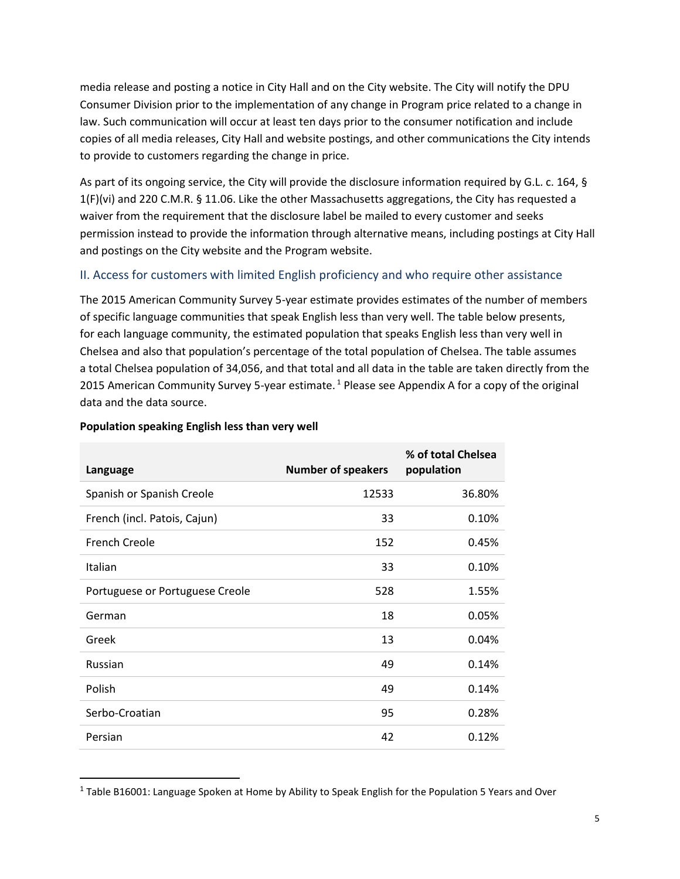media release and posting a notice in City Hall and on the City website. The City will notify the DPU Consumer Division prior to the implementation of any change in Program price related to a change in law. Such communication will occur at least ten days prior to the consumer notification and include copies of all media releases, City Hall and website postings, and other communications the City intends to provide to customers regarding the change in price.

As part of its ongoing service, the City will provide the disclosure information required by G.L. c. 164, § 1(F)(vi) and 220 C.M.R. § 11.06. Like the other Massachusetts aggregations, the City has requested a waiver from the requirement that the disclosure label be mailed to every customer and seeks permission instead to provide the information through alternative means, including postings at City Hall and postings on the City website and the Program website.

# II. Access for customers with limited English proficiency and who require other assistance

The 2015 American Community Survey 5-year estimate provides estimates of the number of members of specific language communities that speak English less than very well. The table below presents, for each language community, the estimated population that speaks English less than very well in Chelsea and also that population's percentage of the total population of Chelsea. The table assumes a total Chelsea population of 34,056, and that total and all data in the table are taken directly from the 2015 American Community Survey 5-year estimate.<sup>1</sup> Please see Appendix A for a copy of the original data and the data source.

| Language                        | <b>Number of speakers</b> | % of total Chelsea<br>population |
|---------------------------------|---------------------------|----------------------------------|
| Spanish or Spanish Creole       | 12533                     | 36.80%                           |
| French (incl. Patois, Cajun)    | 33                        | 0.10%                            |
| <b>French Creole</b>            | 152                       | 0.45%                            |
| Italian                         | 33                        | 0.10%                            |
| Portuguese or Portuguese Creole | 528                       | 1.55%                            |
| German                          | 18                        | 0.05%                            |
| Greek                           | 13                        | 0.04%                            |
| Russian                         | 49                        | 0.14%                            |
| Polish                          | 49                        | 0.14%                            |
| Serbo-Croatian                  | 95                        | 0.28%                            |
| Persian                         | 42                        | 0.12%                            |

#### **Population speaking English less than very well**

 $\overline{\phantom{a}}$ 

 $^1$  Table B16001: Language Spoken at Home by Ability to Speak English for the Population 5 Years and Over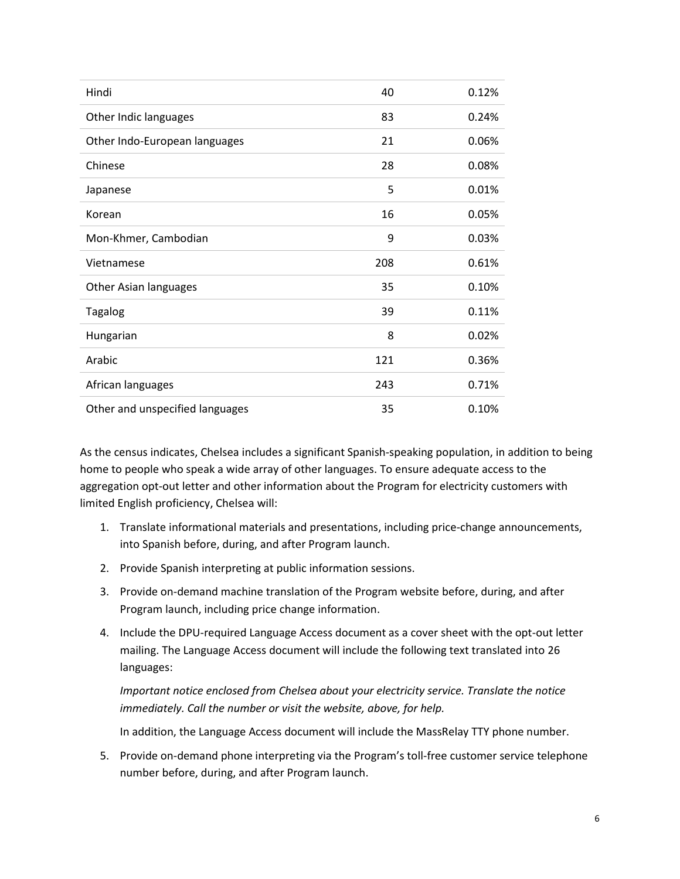| Hindi                           | 40  | 0.12% |
|---------------------------------|-----|-------|
| Other Indic languages           | 83  | 0.24% |
| Other Indo-European languages   | 21  | 0.06% |
| Chinese                         | 28  | 0.08% |
| Japanese                        | 5   | 0.01% |
| Korean                          | 16  | 0.05% |
| Mon-Khmer, Cambodian            | 9   | 0.03% |
| Vietnamese                      | 208 | 0.61% |
| Other Asian languages           | 35  | 0.10% |
| <b>Tagalog</b>                  | 39  | 0.11% |
| Hungarian                       | 8   | 0.02% |
| Arabic                          | 121 | 0.36% |
| African languages               | 243 | 0.71% |
| Other and unspecified languages | 35  | 0.10% |

As the census indicates, Chelsea includes a significant Spanish-speaking population, in addition to being home to people who speak a wide array of other languages. To ensure adequate access to the aggregation opt-out letter and other information about the Program for electricity customers with limited English proficiency, Chelsea will:

- 1. Translate informational materials and presentations, including price-change announcements, into Spanish before, during, and after Program launch.
- 2. Provide Spanish interpreting at public information sessions.
- 3. Provide on-demand machine translation of the Program website before, during, and after Program launch, including price change information.
- 4. Include the DPU-required Language Access document as a cover sheet with the opt-out letter mailing. The Language Access document will include the following text translated into 26 languages:

*Important notice enclosed from Chelsea about your electricity service. Translate the notice immediately. Call the number or visit the website, above, for help.* 

In addition, the Language Access document will include the MassRelay TTY phone number.

5. Provide on-demand phone interpreting via the Program's toll-free customer service telephone number before, during, and after Program launch.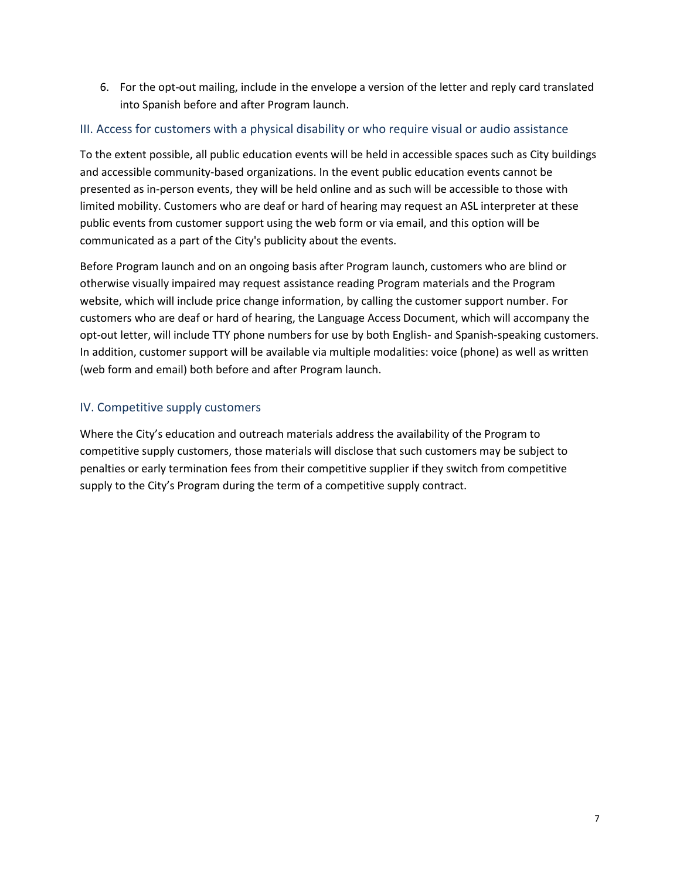6. For the opt-out mailing, include in the envelope a version of the letter and reply card translated into Spanish before and after Program launch.

# III. Access for customers with a physical disability or who require visual or audio assistance

To the extent possible, all public education events will be held in accessible spaces such as City buildings and accessible community-based organizations. In the event public education events cannot be presented as in-person events, they will be held online and as such will be accessible to those with limited mobility. Customers who are deaf or hard of hearing may request an ASL interpreter at these public events from customer support using the web form or via email, and this option will be communicated as a part of the City's publicity about the events.

Before Program launch and on an ongoing basis after Program launch, customers who are blind or otherwise visually impaired may request assistance reading Program materials and the Program website, which will include price change information, by calling the customer support number. For customers who are deaf or hard of hearing, the Language Access Document, which will accompany the opt-out letter, will include TTY phone numbers for use by both English- and Spanish-speaking customers. In addition, customer support will be available via multiple modalities: voice (phone) as well as written (web form and email) both before and after Program launch.

# IV. Competitive supply customers

Where the City's education and outreach materials address the availability of the Program to competitive supply customers, those materials will disclose that such customers may be subject to penalties or early termination fees from their competitive supplier if they switch from competitive supply to the City's Program during the term of a competitive supply contract.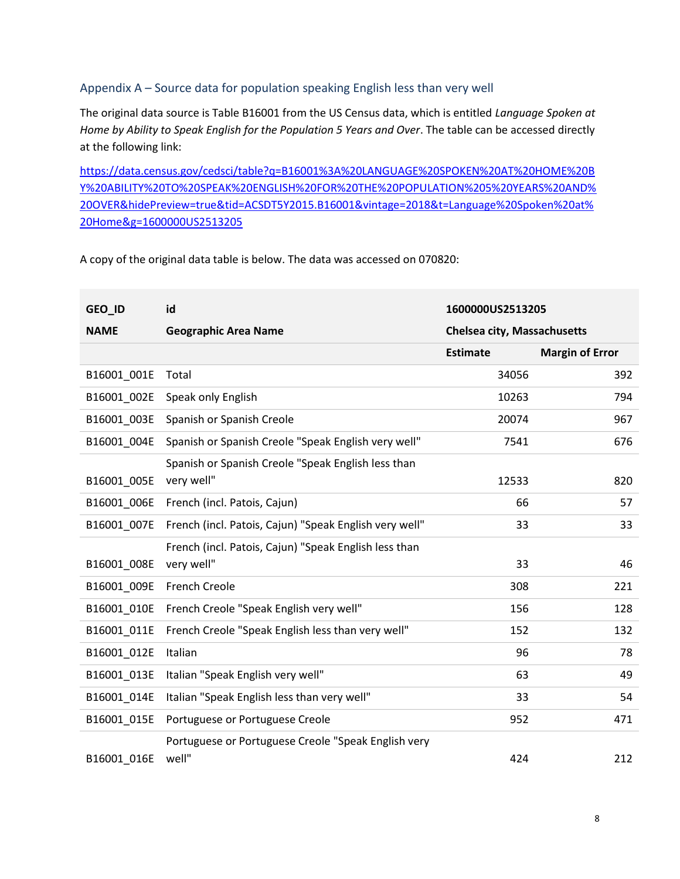# Appendix A – Source data for population speaking English less than very well

The original data source is Table B16001 from the US Census data, which is entitled *Language Spoken at Home by Ability to Speak English for the Population 5 Years and Over*. The table can be accessed directly at the following link:

[https://data.census.gov/cedsci/table?q=B16001%3A%20LANGUAGE%20SPOKEN%20AT%20HOME%20B](https://data.census.gov/cedsci/table?q=B16001%3A%20LANGUAGE%20SPOKEN%20AT%20HOME%20BY%20ABILITY%20TO%20SPEAK%20ENGLISH%20FOR%20THE%20POPULATION%205%20YEARS%20AND%20OVER&hidePreview=true&tid=ACSDT5Y2015.B16001&vintage=2018&t=Language%20Spoken%20at%20Home&g=1600000US2513205) [Y%20ABILITY%20TO%20SPEAK%20ENGLISH%20FOR%20THE%20POPULATION%205%20YEARS%20AND%](https://data.census.gov/cedsci/table?q=B16001%3A%20LANGUAGE%20SPOKEN%20AT%20HOME%20BY%20ABILITY%20TO%20SPEAK%20ENGLISH%20FOR%20THE%20POPULATION%205%20YEARS%20AND%20OVER&hidePreview=true&tid=ACSDT5Y2015.B16001&vintage=2018&t=Language%20Spoken%20at%20Home&g=1600000US2513205) [20OVER&hidePreview=true&tid=ACSDT5Y2015.B16001&vintage=2018&t=Language%20Spoken%20at%](https://data.census.gov/cedsci/table?q=B16001%3A%20LANGUAGE%20SPOKEN%20AT%20HOME%20BY%20ABILITY%20TO%20SPEAK%20ENGLISH%20FOR%20THE%20POPULATION%205%20YEARS%20AND%20OVER&hidePreview=true&tid=ACSDT5Y2015.B16001&vintage=2018&t=Language%20Spoken%20at%20Home&g=1600000US2513205) [20Home&g=1600000US2513205](https://data.census.gov/cedsci/table?q=B16001%3A%20LANGUAGE%20SPOKEN%20AT%20HOME%20BY%20ABILITY%20TO%20SPEAK%20ENGLISH%20FOR%20THE%20POPULATION%205%20YEARS%20AND%20OVER&hidePreview=true&tid=ACSDT5Y2015.B16001&vintage=2018&t=Language%20Spoken%20at%20Home&g=1600000US2513205)

A copy of the original data table is below. The data was accessed on 070820:

| GEO_ID      | id                                                     | 1600000US2513205                   |                        |
|-------------|--------------------------------------------------------|------------------------------------|------------------------|
| <b>NAME</b> | <b>Geographic Area Name</b>                            | <b>Chelsea city, Massachusetts</b> |                        |
|             |                                                        | <b>Estimate</b>                    | <b>Margin of Error</b> |
| B16001 001E | Total                                                  | 34056                              | 392                    |
| B16001 002E | Speak only English                                     | 10263                              | 794                    |
| B16001 003E | Spanish or Spanish Creole                              | 20074                              | 967                    |
| B16001 004E | Spanish or Spanish Creole "Speak English very well"    | 7541                               | 676                    |
|             | Spanish or Spanish Creole "Speak English less than     |                                    |                        |
| B16001_005E | very well"                                             | 12533                              | 820                    |
| B16001 006E | French (incl. Patois, Cajun)                           | 66                                 | 57                     |
| B16001 007E | French (incl. Patois, Cajun) "Speak English very well" | 33                                 | 33                     |
|             | French (incl. Patois, Cajun) "Speak English less than  |                                    |                        |
| B16001 008E | very well"                                             | 33                                 | 46                     |
| B16001_009E | <b>French Creole</b>                                   | 308                                | 221                    |
| B16001 010E | French Creole "Speak English very well"                | 156                                | 128                    |
| B16001 011E | French Creole "Speak English less than very well"      | 152                                | 132                    |
| B16001 012E | Italian                                                | 96                                 | 78                     |
| B16001_013E | Italian "Speak English very well"                      | 63                                 | 49                     |
| B16001 014E | Italian "Speak English less than very well"            | 33                                 | 54                     |
| B16001 015E | Portuguese or Portuguese Creole                        | 952                                | 471                    |
|             | Portuguese or Portuguese Creole "Speak English very    |                                    |                        |
| B16001 016E | well"                                                  | 424                                | 212                    |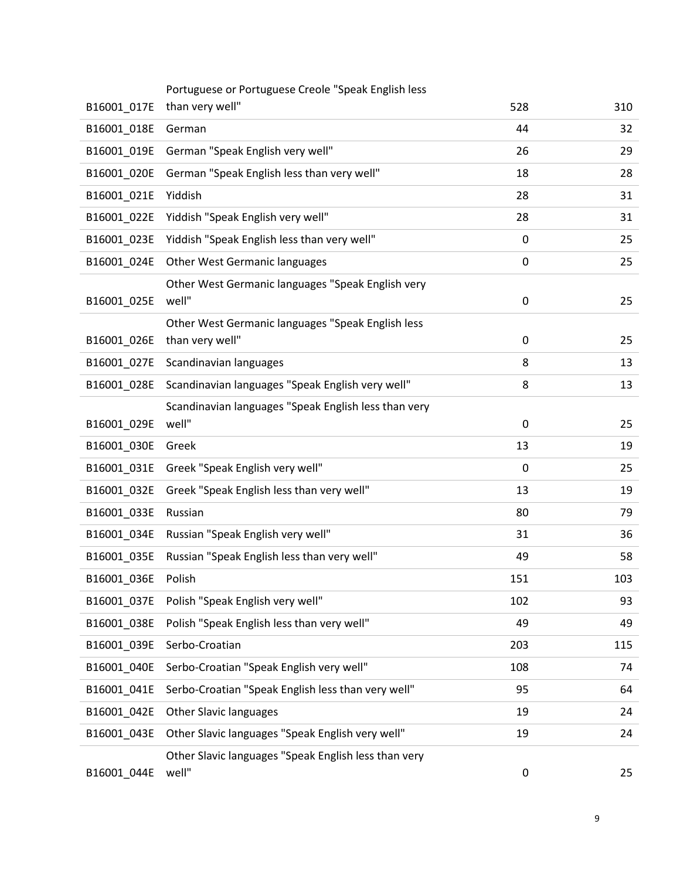| B16001_017E | Portuguese or Portuguese Creole "Speak English less<br>than very well" | 528         | 310 |
|-------------|------------------------------------------------------------------------|-------------|-----|
| B16001_018E | German                                                                 | 44          | 32  |
| B16001_019E | German "Speak English very well"                                       | 26          | 29  |
| B16001_020E | German "Speak English less than very well"                             | 18          | 28  |
|             | Yiddish                                                                | 28          |     |
| B16001 021E |                                                                        |             | 31  |
| B16001_022E | Yiddish "Speak English very well"                                      | 28          | 31  |
| B16001_023E | Yiddish "Speak English less than very well"                            | 0           | 25  |
| B16001 024E | <b>Other West Germanic languages</b>                                   | $\mathbf 0$ | 25  |
| B16001 025E | Other West Germanic languages "Speak English very<br>well"             | 0           | 25  |
|             | Other West Germanic languages "Speak English less                      |             |     |
| B16001_026E | than very well"                                                        | 0           | 25  |
| B16001 027E | Scandinavian languages                                                 | 8           | 13  |
| B16001_028E | Scandinavian languages "Speak English very well"                       | 8           | 13  |
|             | Scandinavian languages "Speak English less than very                   |             |     |
| B16001_029E | well"                                                                  | 0           | 25  |
| B16001_030E | Greek                                                                  | 13          | 19  |
| B16001_031E | Greek "Speak English very well"                                        | 0           | 25  |
| B16001_032E | Greek "Speak English less than very well"                              | 13          | 19  |
| B16001 033E | Russian                                                                | 80          | 79  |
| B16001_034E | Russian "Speak English very well"                                      | 31          | 36  |
| B16001_035E | Russian "Speak English less than very well"                            | 49          | 58  |
| B16001_036E | Polish                                                                 | 151         | 103 |
| B16001_037E | Polish "Speak English very well"                                       | 102         | 93  |
| B16001_038E | Polish "Speak English less than very well"                             | 49          | 49  |
| B16001_039E | Serbo-Croatian                                                         | 203         | 115 |
| B16001 040E | Serbo-Croatian "Speak English very well"                               | 108         | 74  |
| B16001_041E | Serbo-Croatian "Speak English less than very well"                     | 95          | 64  |
| B16001_042E | <b>Other Slavic languages</b>                                          | 19          | 24  |
| B16001_043E | Other Slavic languages "Speak English very well"                       | 19          | 24  |
|             | Other Slavic languages "Speak English less than very                   |             |     |
| B16001_044E | well"                                                                  | 0           | 25  |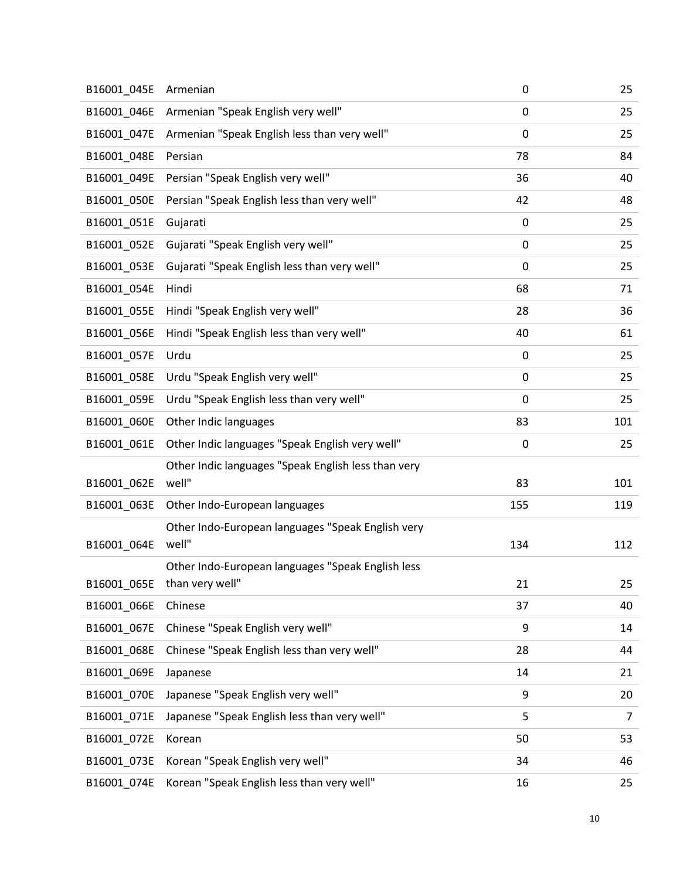| B16001_045E | Armenian                                            | 0           | 25  |
|-------------|-----------------------------------------------------|-------------|-----|
| B16001_046E | Armenian "Speak English very well"                  | 0           | 25  |
| B16001_047E | Armenian "Speak English less than very well"        | 0           | 25  |
| B16001_048E | Persian                                             | 78          | 84  |
| B16001_049E | Persian "Speak English very well"                   | 36          | 40  |
| B16001_050E | Persian "Speak English less than very well"         | 42          | 48  |
| B16001_051E | Gujarati                                            | 0           | 25  |
| B16001_052E | Gujarati "Speak English very well"                  | 0           | 25  |
| B16001_053E | Gujarati "Speak English less than very well"        | 0           | 25  |
| B16001_054E | Hindi                                               | 68          | 71  |
| B16001_055E | Hindi "Speak English very well"                     | 28          | 36  |
| B16001_056E | Hindi "Speak English less than very well"           | 40          | 61  |
| B16001_057E | Urdu                                                | 0           | 25  |
| B16001 058E | Urdu "Speak English very well"                      | 0           | 25  |
| B16001 059E | Urdu "Speak English less than very well"            | $\mathbf 0$ | 25  |
| B16001_060E | Other Indic languages                               | 83          | 101 |
| B16001_061E | Other Indic languages "Speak English very well"     | 0           | 25  |
|             | Other Indic languages "Speak English less than very |             |     |
| B16001_062E | well"                                               | 83          | 101 |
| B16001_063E | Other Indo-European languages                       | 155         | 119 |
|             | Other Indo-European languages "Speak English very   |             |     |
| B16001_064E | well"                                               | 134         | 112 |
|             | Other Indo-European languages "Speak English less   | 21          | 25  |
| B16001_065E | than very well"<br>Chinese                          | 37          |     |
| B16001_066E |                                                     |             | 40  |
| B16001 067E | Chinese "Speak English very well"                   | 9           | 14  |
| B16001 068E | Chinese "Speak English less than very well"         | 28          | 44  |
| B16001_069E | Japanese                                            | 14          | 21  |
| B16001_070E | Japanese "Speak English very well"                  | 9           | 20  |
| B16001_071E | Japanese "Speak English less than very well"        | 5           | 7   |
| B16001_072E | Korean                                              | 50          | 53  |
| B16001_073E | Korean "Speak English very well"                    | 34          | 46  |
| B16001_074E | Korean "Speak English less than very well"          | 16          | 25  |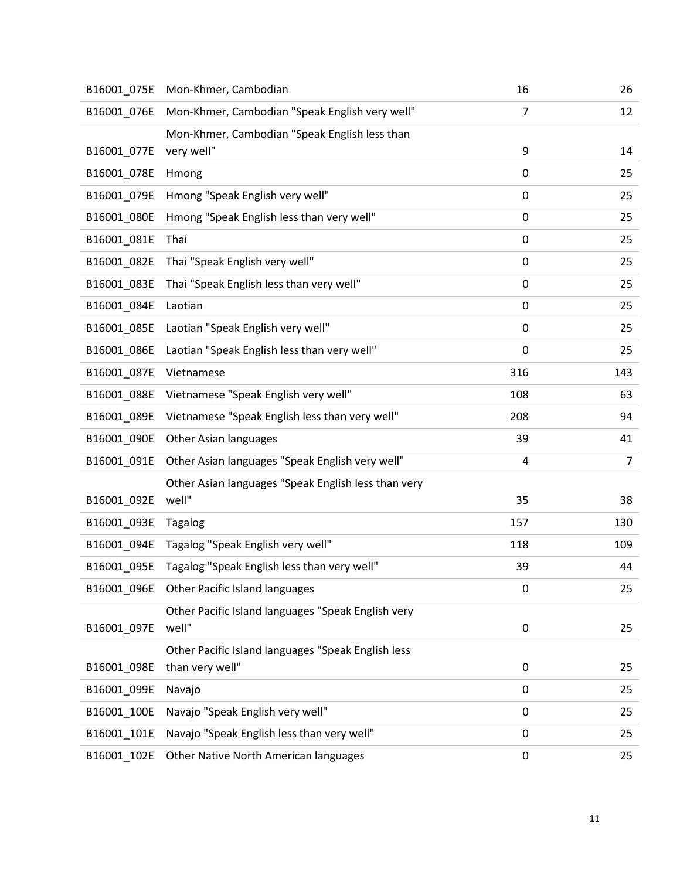| B16001_075E | Mon-Khmer, Cambodian                                | 16  | 26  |
|-------------|-----------------------------------------------------|-----|-----|
| B16001_076E | Mon-Khmer, Cambodian "Speak English very well"      | 7   | 12  |
|             | Mon-Khmer, Cambodian "Speak English less than       |     |     |
| B16001_077E | very well"                                          | 9   | 14  |
| B16001_078E | Hmong                                               | 0   | 25  |
| B16001_079E | Hmong "Speak English very well"                     | 0   | 25  |
| B16001_080E | Hmong "Speak English less than very well"           | 0   | 25  |
| B16001_081E | Thai                                                | 0   | 25  |
| B16001_082E | Thai "Speak English very well"                      | 0   | 25  |
| B16001_083E | Thai "Speak English less than very well"            | 0   | 25  |
| B16001_084E | Laotian                                             | 0   | 25  |
| B16001_085E | Laotian "Speak English very well"                   | 0   | 25  |
| B16001 086E | Laotian "Speak English less than very well"         | 0   | 25  |
| B16001_087E | Vietnamese                                          | 316 | 143 |
| B16001_088E | Vietnamese "Speak English very well"                | 108 | 63  |
| B16001_089E | Vietnamese "Speak English less than very well"      | 208 | 94  |
| B16001_090E | Other Asian languages                               | 39  | 41  |
| B16001_091E | Other Asian languages "Speak English very well"     | 4   | 7   |
|             | Other Asian languages "Speak English less than very |     |     |
| B16001_092E | well"                                               | 35  | 38  |
| B16001_093E | <b>Tagalog</b>                                      | 157 | 130 |
| B16001_094E | Tagalog "Speak English very well"                   | 118 | 109 |
| B16001_095E | Tagalog "Speak English less than very well"         | 39  | 44  |
| B16001_096E | <b>Other Pacific Island languages</b>               | 0   | 25  |
|             | Other Pacific Island languages "Speak English very  |     |     |
| B16001_097E | well"                                               | 0   | 25  |
|             | Other Pacific Island languages "Speak English less  |     |     |
| B16001_098E | than very well"                                     | 0   | 25  |
| B16001_099E | Navajo                                              | 0   | 25  |
| B16001_100E | Navajo "Speak English very well"                    | 0   | 25  |
| B16001_101E | Navajo "Speak English less than very well"          | 0   | 25  |
| B16001_102E | Other Native North American languages               | 0   | 25  |